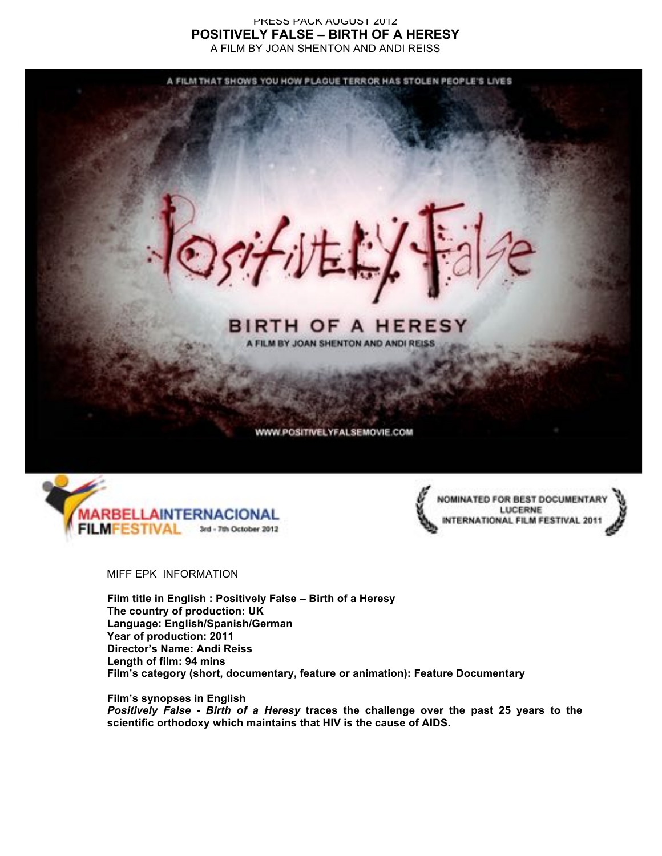#### PRESS PACK AUGUST 2012 **POSITIVELY FALSE – BIRTH OF A HERESY** A FILM BY JOAN SHENTON AND ANDI REISS

A FILM THAT SHOWS YOU HOW PLAGUE TERROR HAS STOLEN PEOPLE'S LIVES







MIFF EPK INFORMATION

**Film title in English : Positively False – Birth of a Heresy The country of production: UK Language: English/Spanish/German Year of production: 2011 Director's Name: Andi Reiss Length of film: 94 mins Film's category (short, documentary, feature or animation): Feature Documentary**

**Film's synopses in English** *Positively False - Birth of a Heresy* **traces the challenge over the past 25 years to the scientific orthodoxy which maintains that HIV is the cause of AIDS.**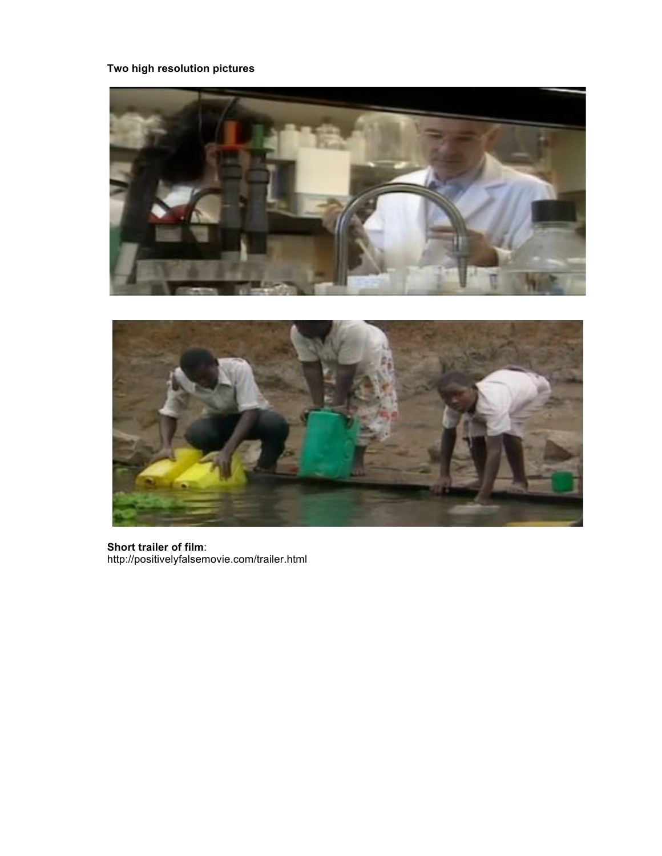# **Two high resolution pictures**





**Short trailer of film**: http://positivelyfalsemovie.com/trailer.html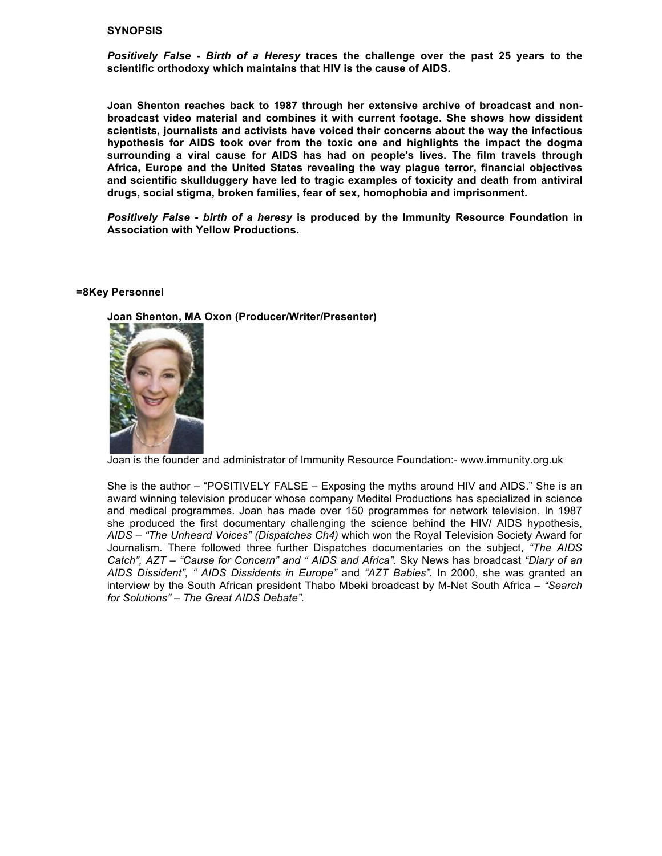#### **SYNOPSIS**

*Positively False - Birth of a Heresy* **traces the challenge over the past 25 years to the scientific orthodoxy which maintains that HIV is the cause of AIDS.**

**Joan Shenton reaches back to 1987 through her extensive archive of broadcast and nonbroadcast video material and combines it with current footage. She shows how dissident scientists, journalists and activists have voiced their concerns about the way the infectious hypothesis for AIDS took over from the toxic one and highlights the impact the dogma surrounding a viral cause for AIDS has had on people's lives. The film travels through Africa, Europe and the United States revealing the way plague terror, financial objectives and scientific skullduggery have led to tragic examples of toxicity and death from antiviral drugs, social stigma, broken families, fear of sex, homophobia and imprisonment.** 

*Positively False - birth of a heresy* **is produced by the Immunity Resource Foundation in Association with Yellow Productions.** 

#### **=8Key Personnel**



### **Joan Shenton, MA Oxon (Producer/Writer/Presenter)**

Joan is the founder and administrator of Immunity Resource Foundation:- www.immunity.org.uk

She is the author – "POSITIVELY FALSE – Exposing the myths around HIV and AIDS." She is an award winning television producer whose company Meditel Productions has specialized in science and medical programmes. Joan has made over 150 programmes for network television. In 1987 she produced the first documentary challenging the science behind the HIV/ AIDS hypothesis, *AIDS – "The Unheard Voices" (Dispatches Ch4)* which won the Royal Television Society Award for Journalism. There followed three further Dispatches documentaries on the subject, *"The AIDS Catch", AZT – "Cause for Concern" and " AIDS and Africa".* Sky News has broadcast *"Diary of an AIDS Dissident", " AIDS Dissidents in Europe"* and *"AZT Babies".* In 2000, she was granted an interview by the South African president Thabo Mbeki broadcast by M-Net South Africa – *"Search for Solutions" – The Great AIDS Debate".*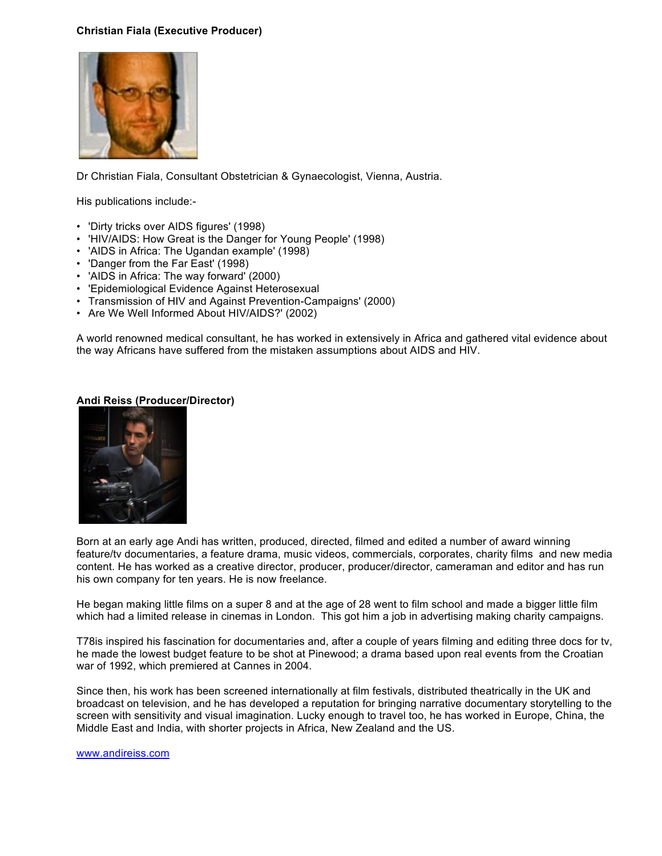### **Christian Fiala (Executive Producer)**



Dr Christian Fiala, Consultant Obstetrician & Gynaecologist, Vienna, Austria.

His publications include:-

- 'Dirty tricks over AIDS figures' (1998)
- 'HIV/AIDS: How Great is the Danger for Young People' (1998)
- 'AIDS in Africa: The Ugandan example' (1998)
- 'Danger from the Far East' (1998)
- 'AIDS in Africa: The way forward' (2000)
- 'Epidemiological Evidence Against Heterosexual
- Transmission of HIV and Against Prevention-Campaigns' (2000)
- Are We Well Informed About HIV/AIDS?' (2002)

A world renowned medical consultant, he has worked in extensively in Africa and gathered vital evidence about the way Africans have suffered from the mistaken assumptions about AIDS and HIV.

#### **Andi Reiss (Producer/Director)**



Born at an early age Andi has written, produced, directed, filmed and edited a number of award winning feature/tv documentaries, a feature drama, music videos, commercials, corporates, charity films and new media content. He has worked as a creative director, producer, producer/director, cameraman and editor and has run his own company for ten years. He is now freelance.

He began making little films on a super 8 and at the age of 28 went to film school and made a bigger little film which had a limited release in cinemas in London. This got him a job in advertising making charity campaigns.

T78is inspired his fascination for documentaries and, after a couple of years filming and editing three docs for tv, he made the lowest budget feature to be shot at Pinewood; a drama based upon real events from the Croatian war of 1992, which premiered at Cannes in 2004.

Since then, his work has been screened internationally at film festivals, distributed theatrically in the UK and broadcast on television, and he has developed a reputation for bringing narrative documentary storytelling to the screen with sensitivity and visual imagination. Lucky enough to travel too, he has worked in Europe, China, the Middle East and India, with shorter projects in Africa, New Zealand and the US.

www.andireiss.com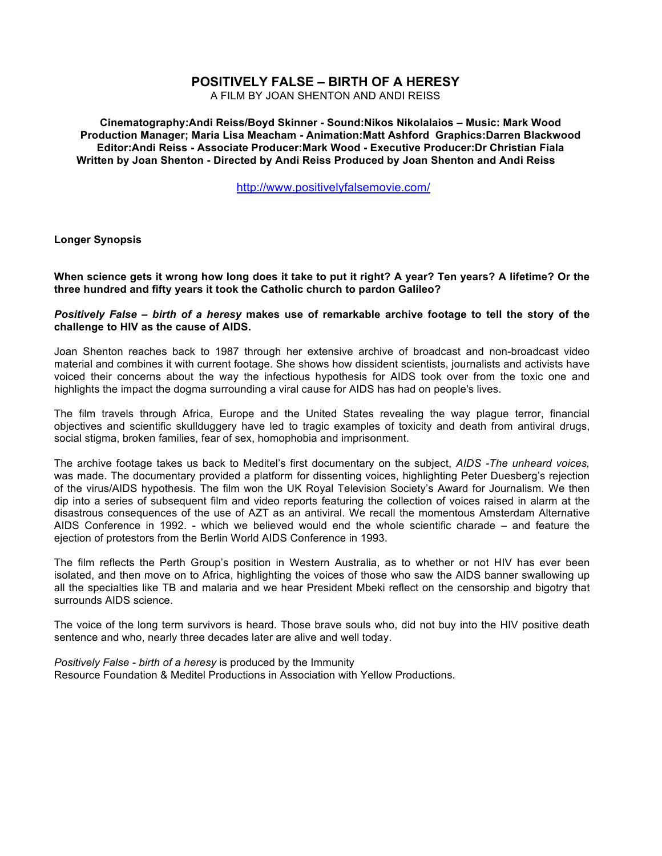## **POSITIVELY FALSE – BIRTH OF A HERESY**

A FILM BY JOAN SHENTON AND ANDI REISS

**Cinematography:Andi Reiss/Boyd Skinner - Sound:Nikos Nikolalaios – Music: Mark Wood Production Manager; Maria Lisa Meacham - Animation:Matt Ashford Graphics:Darren Blackwood Editor:Andi Reiss - Associate Producer:Mark Wood - Executive Producer:Dr Christian Fiala Written by Joan Shenton - Directed by Andi Reiss Produced by Joan Shenton and Andi Reiss**

http://www.positivelyfalsemovie.com/

**Longer Synopsis**

**When science gets it wrong how long does it take to put it right? A year? Ten years? A lifetime? Or the three hundred and fifty years it took the Catholic church to pardon Galileo?**

*Positively False – birth of a heresy* **makes use of remarkable archive footage to tell the story of the challenge to HIV as the cause of AIDS.** 

Joan Shenton reaches back to 1987 through her extensive archive of broadcast and non-broadcast video material and combines it with current footage. She shows how dissident scientists, journalists and activists have voiced their concerns about the way the infectious hypothesis for AIDS took over from the toxic one and highlights the impact the dogma surrounding a viral cause for AIDS has had on people's lives.

The film travels through Africa, Europe and the United States revealing the way plague terror, financial objectives and scientific skullduggery have led to tragic examples of toxicity and death from antiviral drugs, social stigma, broken families, fear of sex, homophobia and imprisonment.

The archive footage takes us back to Meditel's first documentary on the subject, *AIDS -The unheard voices,* was made. The documentary provided a platform for dissenting voices, highlighting Peter Duesberg's rejection of the virus/AIDS hypothesis. The film won the UK Royal Television Society's Award for Journalism. We then dip into a series of subsequent film and video reports featuring the collection of voices raised in alarm at the disastrous consequences of the use of AZT as an antiviral. We recall the momentous Amsterdam Alternative AIDS Conference in 1992. - which we believed would end the whole scientific charade – and feature the ejection of protestors from the Berlin World AIDS Conference in 1993.

The film reflects the Perth Group's position in Western Australia, as to whether or not HIV has ever been isolated, and then move on to Africa, highlighting the voices of those who saw the AIDS banner swallowing up all the specialties like TB and malaria and we hear President Mbeki reflect on the censorship and bigotry that surrounds AIDS science.

The voice of the long term survivors is heard. Those brave souls who, did not buy into the HIV positive death sentence and who, nearly three decades later are alive and well today.

*Positively False - birth of a heresy* is produced by the Immunity Resource Foundation & Meditel Productions in Association with Yellow Productions.